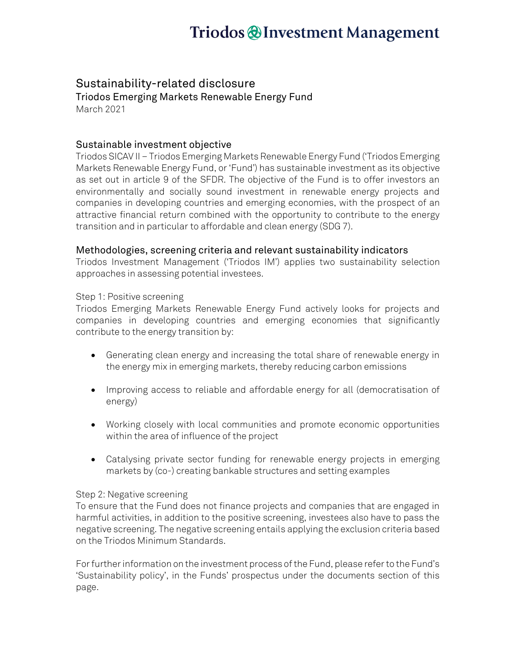# Triodos @Investment Management

### Sustainability-related disclosure

Triodos Emerging Markets Renewable Energy Fund March 2021

### Sustainable investment objective

Triodos SICAV II – Triodos Emerging Markets Renewable Energy Fund ('Triodos Emerging Markets Renewable Energy Fund, or 'Fund') has sustainable investment as its objective as set out in article 9 of the SFDR. The objective of the Fund is to offer investors an environmentally and socially sound investment in renewable energy projects and companies in developing countries and emerging economies, with the prospect of an attractive financial return combined with the opportunity to contribute to the energy transition and in particular to affordable and clean energy (SDG 7).

#### Methodologies, screening criteria and relevant sustainability indicators

Triodos Investment Management ('Triodos IM') applies two sustainability selection approaches in assessing potential investees.

#### Step 1: Positive screening

Triodos Emerging Markets Renewable Energy Fund actively looks for projects and companies in developing countries and emerging economies that significantly contribute to the energy transition by:

- Generating clean energy and increasing the total share of renewable energy in the energy mix in emerging markets, thereby reducing carbon emissions
- Improving access to reliable and affordable energy for all (democratisation of energy)
- Working closely with local communities and promote economic opportunities within the area of influence of the project
- Catalysing private sector funding for renewable energy projects in emerging markets by (co-) creating bankable structures and setting examples

#### Step 2: Negative screening

To ensure that the Fund does not finance projects and companies that are engaged in harmful activities, in addition to the positive screening, investees also have to pass the negative screening. The negative screening entails applying the exclusion criteria based on the Triodos Minimum Standards.

For further information on the investment process of the Fund, please refer to the Fund's 'Sustainability policy', in the Funds' prospectus under the documents section of this page.